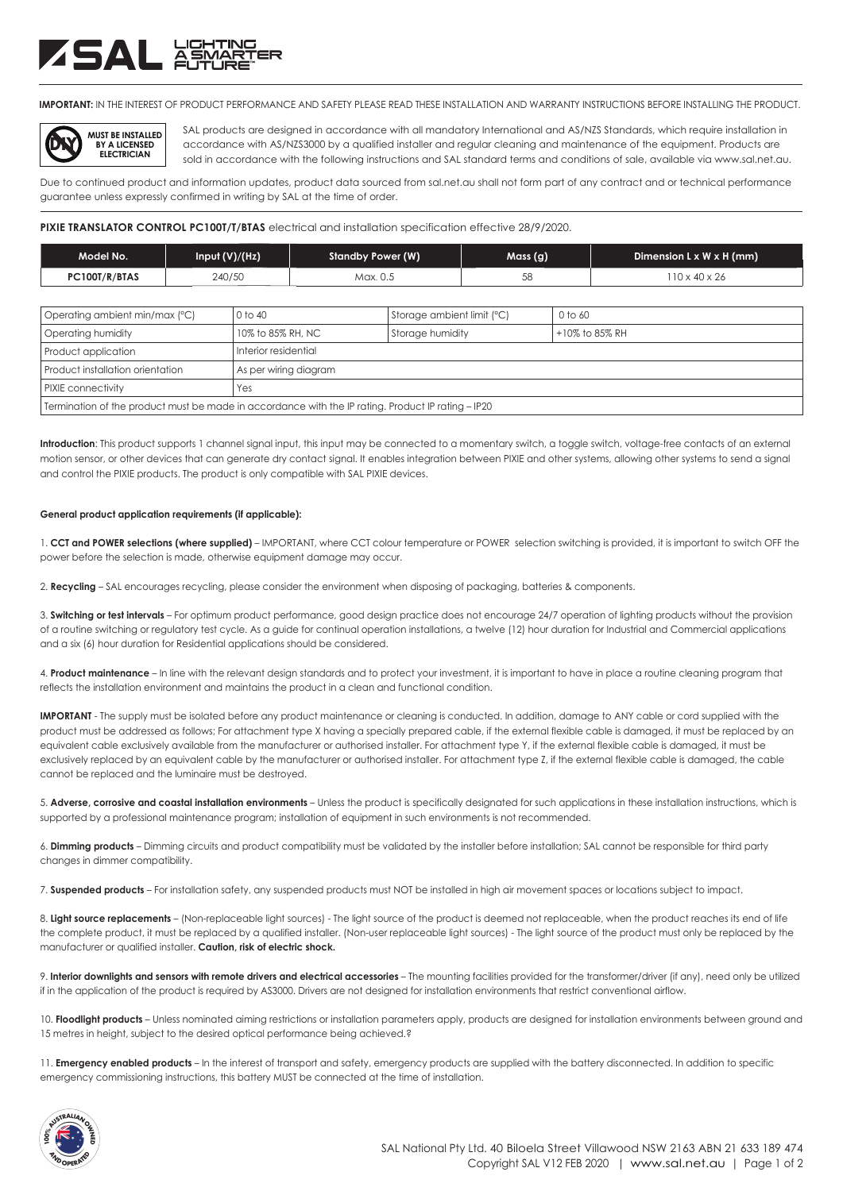# ZSAL XSM

**IMPORTANT:** IN THE INTEREST OF PRODUCT PERFORMANCE AND SAFETY PLEASE READ THESE INSTALLATION AND WARRANTY INSTRUCTIONS BEFORE INSTALLING THE PRODUCT.



SAL products are designed in accordance with all mandatory International and AS/NZS Standards, which require installation in accordance with AS/NZS3000 by a qualified installer and regular cleaning and maintenance of the equipment. Products are sold in accordance with the following instructions and SAL standard terms and conditions of sale, available via www.sal.net.au.

Due to continued product and information updates, product data sourced from sal.net.au shall not form part of any contract and or technical performance guarantee unless expressly confirmed in writing by SAL at the time of order.

# **PIXIE TRANSLATOR CONTROL PC100T/T/BTAS** electrical and installation specification effective 28/9/2020.

| Model No.     | Input (V)/(Hz) | Standby Power (W) | Mass (g) | Dimension $L \times W \times H$ (mm) |
|---------------|----------------|-------------------|----------|--------------------------------------|
| PC100T/R/BTAS | 240/50         | Max. 0.5          | 58       | $10 \times 40 \times 26$             |

| Operating ambient min/max (°C)                                                                     | 0 to 40               | Storage ambient limit (°C) | 0 to 60        |  |  |  |
|----------------------------------------------------------------------------------------------------|-----------------------|----------------------------|----------------|--|--|--|
| Operating humidity                                                                                 | 10% to 85% RH, NC     | Storage humidity           | +10% to 85% RH |  |  |  |
| Product application                                                                                | Interior residential  |                            |                |  |  |  |
| Product installation orientation                                                                   | As per wiring diagram |                            |                |  |  |  |
| PIXIE connectivity                                                                                 | Yes                   |                            |                |  |  |  |
| Termination of the product must be made in accordance with the IP rating. Product IP rating - IP20 |                       |                            |                |  |  |  |

**Introduction**: This product supports 1 channel signal input, this input may be connected to a momentary switch, a toggle switch, voltage-free contacts of an external motion sensor, or other devices that can generate dry contact signal. It enables integration between PIXIE and other systems, allowing other systems to send a signal and control the PIXIE products. The product is only compatible with SAL PIXIE devices.

# **General product application requirements (if applicable):**

1. **CCT and POWER selections (where supplied)** – IMPORTANT, where CCT colour temperature or POWER selection switching is provided, it is important to switch OFF the power before the selection is made, otherwise equipment damage may occur.

2. **Recycling** – SAL encourages recycling, please consider the environment when disposing of packaging, batteries & components.

3. **Switching or test intervals** – For optimum product performance, good design practice does not encourage 24/7 operation of lighting products without the provision of a routine switching or regulatory test cycle. As a guide for continual operation installations, a twelve (12) hour duration for Industrial and Commercial applications and a six (6) hour duration for Residential applications should be considered.

4. **Product maintenance** – In line with the relevant design standards and to protect your investment, it is important to have in place a routine cleaning program that reflects the installation environment and maintains the product in a clean and functional condition.

**IMPORTANT** - The supply must be isolated before any product maintenance or cleaning is conducted. In addition, damage to ANY cable or cord supplied with the product must be addressed as follows; For attachment type X having a specially prepared cable, if the external flexible cable is damaged, it must be replaced by an equivalent cable exclusively available from the manufacturer or authorised installer. For attachment type Y, if the external flexible cable is damaged, it must be exclusively replaced by an equivalent cable by the manufacturer or authorised installer. For attachment type Z, if the external flexible cable is damaged, the cable cannot be replaced and the luminaire must be destroyed.

5. **Adverse, corrosive and coastal installation environments** – Unless the product is specifically designated for such applications in these installation instructions, which is supported by a professional maintenance program; installation of equipment in such environments is not recommended.

6. **Dimming products** – Dimming circuits and product compatibility must be validated by the installer before installation; SAL cannot be responsible for third party changes in dimmer compatibility.

7. **Suspended products** – For installation safety, any suspended products must NOT be installed in high air movement spaces or locations subject to impact.

8. Light source replacements - (Non-replaceable light sources) - The light source of the product is deemed not replaceable, when the product reaches its end of life the complete product, it must be replaced by a qualified installer. (Non-user replaceable light sources) - The light source of the product must only be replaced by the manufacturer or qualified installer. **Caution, risk of electric shock.**

9. Interior downlights and sensors with remote drivers and electrical accessories - The mounting facilities provided for the transformer/driver (if any), need only be utilized if in the application of the product is required by AS3000. Drivers are not designed for installation environments that restrict conventional airflow.

10. Floodlight products - Unless nominated aiming restrictions or installation parameters apply, products are designed for installation environments between ground and 15 metres in height, subject to the desired optical performance being achieved.?

11. **Emergency enabled products** – In the interest of transport and safety, emergency products are supplied with the battery disconnected. In addition to specific emergency commissioning instructions, this battery MUST be connected at the time of installation.